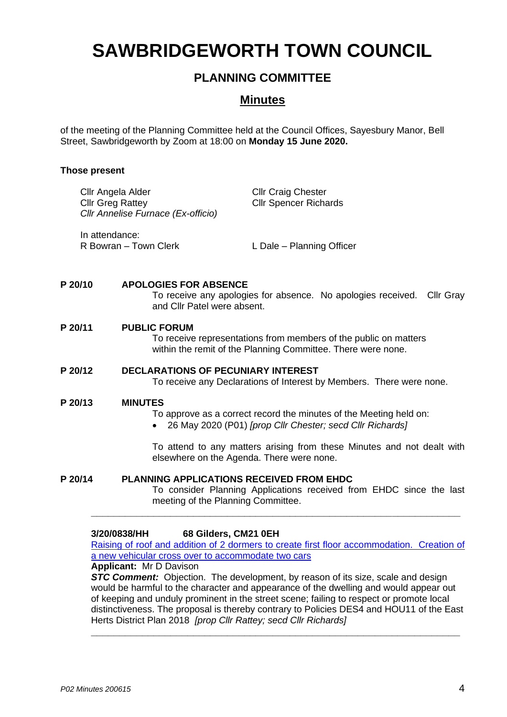# **SAWBRIDGEWORTH TOWN COUNCIL**

# **PLANNING COMMITTEE**

# **Minutes**

of the meeting of the Planning Committee held at the Council Offices, Sayesbury Manor, Bell Street, Sawbridgeworth by Zoom at 18:00 on **Monday 15 June 2020.**

# **Those present**

| Cllr Angela Alder<br><b>Cllr Greg Rattey</b> | Cllr Annelise Furnace (Ex-officio)                          | <b>Cllr Craig Chester</b><br><b>CIIr Spencer Richards</b>                                                                        |
|----------------------------------------------|-------------------------------------------------------------|----------------------------------------------------------------------------------------------------------------------------------|
| In attendance:                               | R Bowran – Town Clerk                                       | L Dale - Planning Officer                                                                                                        |
| P 20/10                                      | <b>APOLOGIES FOR ABSENCE</b><br>and Cllr Patel were absent. | To receive any apologies for absence. No apologies received.<br>Cllr Gray                                                        |
| P 20/11                                      | <b>PUBLIC FORUM</b>                                         | To receive representations from members of the public on matters<br>within the remit of the Planning Committee. There were none. |
| P 20/12                                      | <b>DECLARATIONS OF PECUNIARY INTEREST</b>                   | To receive any Declarations of Interest by Members. There were none.                                                             |
| P 20/13                                      | <b>MINUTES</b>                                              | To approve as a correct record the minutes of the Meeting held on:<br>26 May 2020 (P01) [prop Cllr Chester; secd Cllr Richards]  |

To attend to any matters arising from these Minutes and not dealt with elsewhere on the Agenda. There were none.

**P 20/14 PLANNING APPLICATIONS RECEIVED FROM EHDC**

To consider Planning Applications received from EHDC since the last meeting of the Planning Committee.

#### **3/20/0838/HH 68 Gilders, CM21 0EH**

[Raising of roof and addition of 2 dormers to create first floor accommodation. Creation of](https://publicaccess.eastherts.gov.uk/online-applications/applicationDetails.do?activeTab=documents&keyVal=Q9N4W7GLGLO00)  [a new vehicular cross over to accommodate two cars](https://publicaccess.eastherts.gov.uk/online-applications/applicationDetails.do?activeTab=documents&keyVal=Q9N4W7GLGLO00)

**\_\_\_\_\_\_\_\_\_\_\_\_\_\_\_\_\_\_\_\_\_\_\_\_\_\_\_\_\_\_\_\_\_\_\_\_\_\_\_\_\_\_\_\_\_\_\_\_\_\_\_\_\_\_\_\_\_\_\_\_\_\_\_\_\_**

**Applicant:** Mr D Davison

**STC Comment:** Objection. The development, by reason of its size, scale and design would be harmful to the character and appearance of the dwelling and would appear out of keeping and unduly prominent in the street scene; failing to respect or promote local distinctiveness. The proposal is thereby contrary to Policies DES4 and HOU11 of the East Herts District Plan 2018 *[prop Cllr Rattey; secd Cllr Richards]*

**\_\_\_\_\_\_\_\_\_\_\_\_\_\_\_\_\_\_\_\_\_\_\_\_\_\_\_\_\_\_\_\_\_\_\_\_\_\_\_\_\_\_\_\_\_\_\_\_\_\_\_\_\_\_\_\_\_\_\_\_\_\_\_\_\_**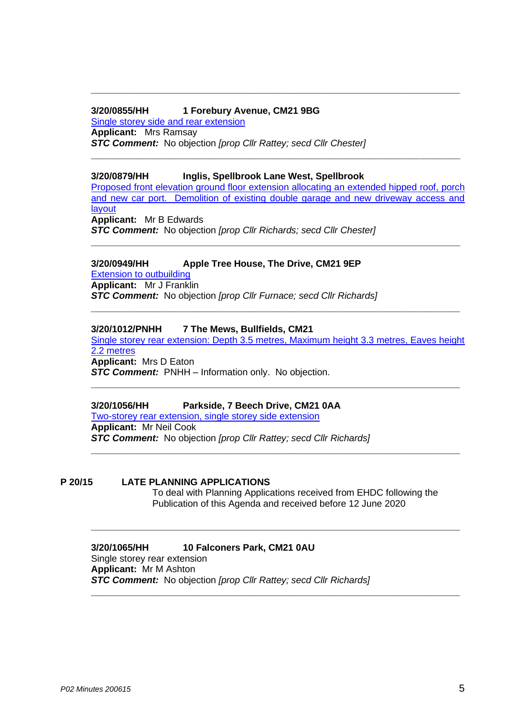## **3/20/0855/HH 1 Forebury Avenue, CM21 9BG**

[Single storey side and rear extension](https://publicaccess.eastherts.gov.uk/online-applications/applicationDetails.do?activeTab=documents&keyVal=Q9TB47GLGN300) **Applicant:** Mrs Ramsay *STC Comment:* No objection *[prop Cllr Rattey; secd Cllr Chester]*

## **3/20/0879/HH Inglis, Spellbrook Lane West, Spellbrook**

[Proposed front elevation ground floor extension allocating an extended hipped roof, porch](https://publicaccess.eastherts.gov.uk/online-applications/applicationDetails.do?activeTab=documents&keyVal=Q9YVM9GLGP000)  [and new car port. Demolition of existing double garage and new driveway access and](https://publicaccess.eastherts.gov.uk/online-applications/applicationDetails.do?activeTab=documents&keyVal=Q9YVM9GLGP000)  **[layout](https://publicaccess.eastherts.gov.uk/online-applications/applicationDetails.do?activeTab=documents&keyVal=Q9YVM9GLGP000) Applicant:** Mr B Edwards

**\_\_\_\_\_\_\_\_\_\_\_\_\_\_\_\_\_\_\_\_\_\_\_\_\_\_\_\_\_\_\_\_\_\_\_\_\_\_\_\_\_\_\_\_\_\_\_\_\_\_\_\_\_\_\_\_\_\_\_\_\_\_\_\_\_**

**\_\_\_\_\_\_\_\_\_\_\_\_\_\_\_\_\_\_\_\_\_\_\_\_\_\_\_\_\_\_\_\_\_\_\_\_\_\_\_\_\_\_\_\_\_\_\_\_\_\_\_\_\_\_\_\_\_\_\_\_\_\_\_\_\_**

**\_\_\_\_\_\_\_\_\_\_\_\_\_\_\_\_\_\_\_\_\_\_\_\_\_\_\_\_\_\_\_\_\_\_\_\_\_\_\_\_\_\_\_\_\_\_\_\_\_\_\_\_\_\_\_\_\_\_\_\_\_\_\_\_\_**

*STC Comment:* No objection *[prop Cllr Richards; secd Cllr Chester]*

# **3/20/0949/HH Apple Tree House, The Drive, CM21 9EP**

[Extension to outbuilding](https://publicaccess.eastherts.gov.uk/online-applications/applicationDetails.do?activeTab=documents&keyVal=QAMBIGGLGV600) **Applicant:** Mr J Franklin *STC Comment:* No objection *[prop Cllr Furnace; secd Cllr Richards]* **\_\_\_\_\_\_\_\_\_\_\_\_\_\_\_\_\_\_\_\_\_\_\_\_\_\_\_\_\_\_\_\_\_\_\_\_\_\_\_\_\_\_\_\_\_\_\_\_\_\_\_\_\_\_\_\_\_\_\_\_\_\_\_\_\_**

## **3/20/1012/PNHH 7 The Mews, Bullfields, CM21**

[Single storey rear extension: Depth 3.5 metres, Maximum height 3.3 metres, Eaves height](https://publicaccess.eastherts.gov.uk/online-applications/applicationDetails.do?activeTab=documents&keyVal=QB8S9AGL00X00)  [2.2 metres](https://publicaccess.eastherts.gov.uk/online-applications/applicationDetails.do?activeTab=documents&keyVal=QB8S9AGL00X00) **Applicant:** Mrs D Eaton

**\_\_\_\_\_\_\_\_\_\_\_\_\_\_\_\_\_\_\_\_\_\_\_\_\_\_\_\_\_\_\_\_\_\_\_\_\_\_\_\_\_\_\_\_\_\_\_\_\_\_\_\_\_\_\_\_\_\_\_\_\_\_\_\_\_**

*STC Comment:* PNHH – Information only. No objection.

#### **3/20/1056/HH Parkside, 7 Beech Drive, CM21 0AA**

[Two-storey rear extension, single storey side extension](https://publicaccess.eastherts.gov.uk/online-applications/applicationDetails.do?activeTab=documents&keyVal=QBHSUQGLH3B00) **Applicant:** Mr Neil Cook *STC Comment:* No objection *[prop Cllr Rattey; secd Cllr Richards]* **\_\_\_\_\_\_\_\_\_\_\_\_\_\_\_\_\_\_\_\_\_\_\_\_\_\_\_\_\_\_\_\_\_\_\_\_\_\_\_\_\_\_\_\_\_\_\_\_\_\_\_\_\_\_\_\_\_\_\_\_\_\_\_\_\_**

# **P 20/15 LATE PLANNING APPLICATIONS**

To deal with Planning Applications received from EHDC following the Publication of this Agenda and received before 12 June 2020

**\_\_\_\_\_\_\_\_\_\_\_\_\_\_\_\_\_\_\_\_\_\_\_\_\_\_\_\_\_\_\_\_\_\_\_\_\_\_\_\_\_\_\_\_\_\_\_\_\_\_\_\_\_\_\_\_\_\_\_\_\_\_\_\_\_**

#### **3/20/1065/HH 10 Falconers Park, CM21 0AU** Single storey rear extension

**Applicant:** Mr M Ashton *STC Comment:* No objection *[prop Cllr Rattey; secd Cllr Richards]* **\_\_\_\_\_\_\_\_\_\_\_\_\_\_\_\_\_\_\_\_\_\_\_\_\_\_\_\_\_\_\_\_\_\_\_\_\_\_\_\_\_\_\_\_\_\_\_\_\_\_\_\_\_\_\_\_\_\_\_\_\_\_\_\_\_**